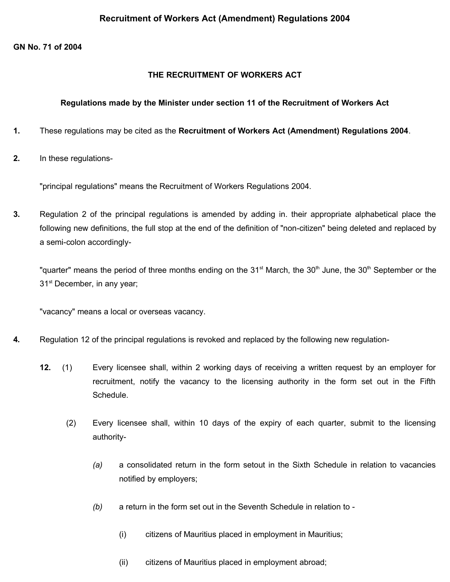#### **GN No. 71 of 2004**

#### **THE RECRUITMENT OF WORKERS ACT**

#### **Regulations made by the Minister under section 11 of the Recruitment of Workers Act**

- **1.** These regulations may be cited as the **Recruitment of Workers Act (Amendment) Regulations 2004**.
- **2.** In these regulations-

"principal regulations" means the Recruitment of Workers Regulations 2004.

**3.** Regulation 2 of the principal regulations is amended by adding in. their appropriate alphabetical place the following new definitions, the full stop at the end of the definition of "non-citizen" being deleted and replaced by a semi-colon accordingly-

"quarter" means the period of three months ending on the 31<sup>st</sup> March, the 30<sup>th</sup> June, the 30<sup>th</sup> September or the 31<sup>st</sup> December, in any year;

"vacancy" means a local or overseas vacancy.

- **4.** Regulation 12 of the principal regulations is revoked and replaced by the following new regulation-
	- **12.** (1) Every licensee shall, within 2 working days of receiving a written request by an employer for recruitment, notify the vacancy to the licensing authority in the form set out in the Fifth Schedule.
		- (2) Every licensee shall, within 10 days of the expiry of each quarter, submit to the licensing authority-
			- *(a)* a consolidated return in the form setout in the Sixth Schedule in relation to vacancies notified by employers;
			- *(b)* a return in the form set out in the Seventh Schedule in relation to
				- (i) citizens of Mauritius placed in employment in Mauritius;
				- (ii) citizens of Mauritius placed in employment abroad;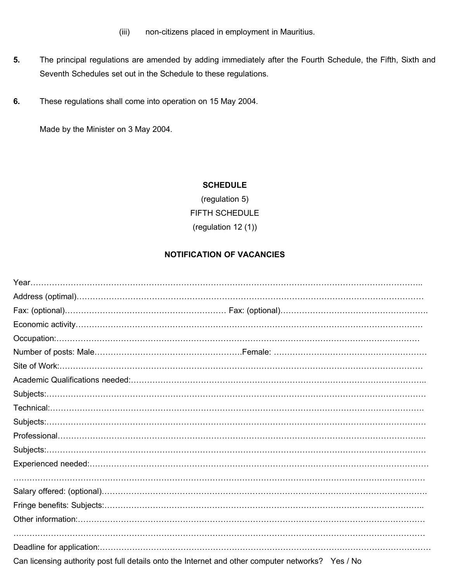(iii) non-citizens placed in employment in Mauritius.

- **5.** The principal regulations are amended by adding immediately after the Fourth Schedule, the Fifth, Sixth and Seventh Schedules set out in the Schedule to these regulations.
- **6.** These regulations shall come into operation on 15 May 2004.

Made by the Minister on 3 May 2004.

### **SCHEDULE**

(regulation 5) FIFTH SCHEDULE (regulation 12 (1))

## **NOTIFICATION OF VACANCIES**

| Can licensing authority post full details onto the Internet and other computer networks? Yes / No |  |
|---------------------------------------------------------------------------------------------------|--|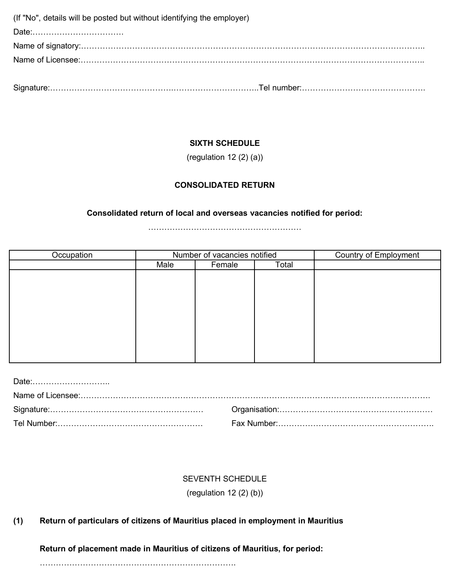(If "No", details will be posted but without identifying the employer) Date:……………………………. Name of signatory:……………………………………………………………………………………………………………….. Name of Licensee:………………………………………………………………………………………………………………..

Signature:……………………………………….…………………………..Tel number:……………………………………….

# **SIXTH SCHEDULE**

(regulation 12 (2) (a))

# **CONSOLIDATED RETURN**

## **Consolidated return of local and overseas vacancies notified for period:**

…………………………………………………

| Occupation | Number of vacancies notified |        | <b>Country of Employment</b> |  |
|------------|------------------------------|--------|------------------------------|--|
|            | Male                         | Female | Total                        |  |
|            |                              |        |                              |  |
|            |                              |        |                              |  |
|            |                              |        |                              |  |
|            |                              |        |                              |  |
|            |                              |        |                              |  |
|            |                              |        |                              |  |
|            |                              |        |                              |  |
|            |                              |        |                              |  |
|            |                              |        |                              |  |
|            |                              |        |                              |  |

## SEVENTH SCHEDULE

(regulation 12 (2) (b))

### **(1) Return of particulars of citizens of Mauritius placed in employment in Mauritius**

### **Return of placement made in Mauritius of citizens of Mauritius, for period:**

……………………………………………………………….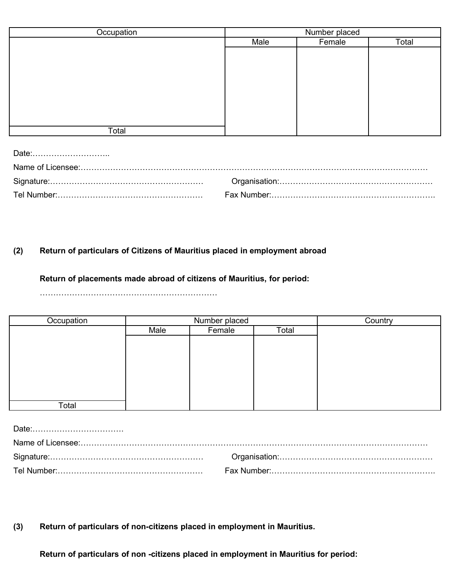| Occupation | Number placed |        |       |
|------------|---------------|--------|-------|
|            | Male          | Female | Total |
|            |               |        |       |
|            |               |        |       |
|            |               |        |       |
|            |               |        |       |
|            |               |        |       |
|            |               |        |       |
|            |               |        |       |
|            |               |        |       |
| Total      |               |        |       |

Date:………………………..

# **(2) Return of particulars of Citizens of Mauritius placed in employment abroad**

### **Return of placements made abroad of citizens of Mauritius, for period:**

…………………………………………………………

| Occupation | Number placed |        | Country |  |
|------------|---------------|--------|---------|--|
|            | Male          | Female | Total   |  |
|            |               |        |         |  |
|            |               |        |         |  |
|            |               |        |         |  |
|            |               |        |         |  |
|            |               |        |         |  |
|            |               |        |         |  |
|            |               |        |         |  |
| Total      |               |        |         |  |

**(3) Return of particulars of non-citizens placed in employment in Mauritius.** 

**Return of particulars of non -citizens placed in employment in Mauritius for period:**